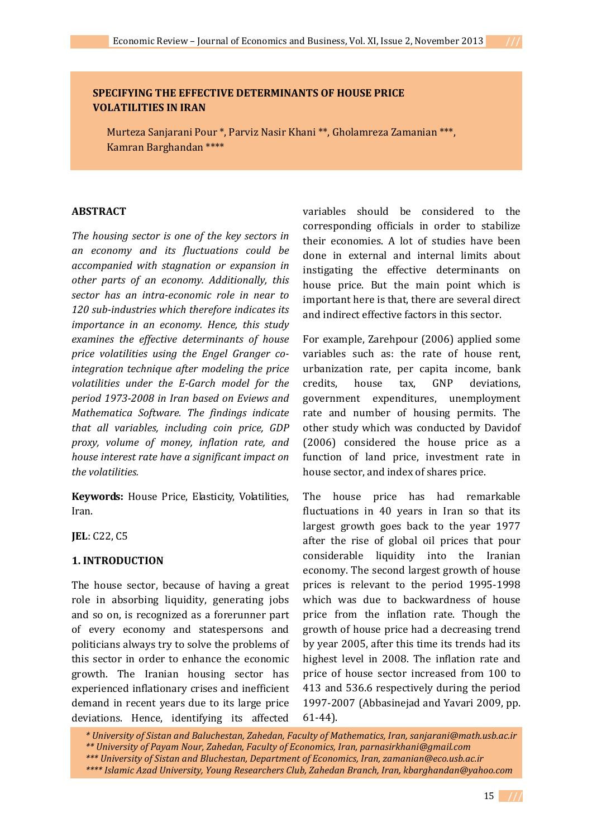# **SPECIFYING THE EFFECTIVE DETERMINANTS OF HOUSE PRICE VOLATILITIES IN IRAN**

Murteza Sanjarani Pour \*, Parviz Nasir Khani \*\*, Gholamreza Zamanian \*\*\*, Kamran Barghandan \*\*\*\*

# **ABSTRACT**

*The housing sector is one of the key sectors in an economy and its fluctuations could be accompanied with stagnation or expansion in other parts of an economy. Additionally, this sector has an intra-economic role in near to 120 sub-industries which therefore indicates its importance in an economy. Hence, this study examines the effective determinants of house price volatilities using the Engel Granger cointegration technique after modeling the price volatilities under the E-Garch model for the period 1973-2008 in Iran based on Eviews and Mathematica Software. The findings indicate that all variables, including coin price, GDP proxy, volume of money, inflation rate, and house interest rate have a significant impact on the volatilities.* 

**Keywords:** House Price, Elasticity, Volatilities, Iran.

**JEL**: C22, C5

# **1. INTRODUCTION**

The house sector, because of having a great role in absorbing liquidity, generating jobs and so on, is recognized as a forerunner part of every economy and statespersons and politicians always try to solve the problems of this sector in order to enhance the economic growth. The Iranian housing sector has experienced inflationary crises and inefficient demand in recent years due to its large price deviations. Hence, identifying its affected variables should be considered to the corresponding officials in order to stabilize their economies. A lot of studies have been done in external and internal limits about instigating the effective determinants on house price. But the main point which is important here is that, there are several direct and indirect effective factors in this sector.

For example, Zarehpour (2006) applied some variables such as: the rate of house rent, urbanization rate, per capita income, bank credits, house tax, GNP deviations, government expenditures, unemployment rate and number of housing permits. The other study which was conducted by Davidof (2006) considered the house price as a function of land price, investment rate in house sector, and index of shares price.

The house price has had remarkable fluctuations in 40 years in Iran so that its largest growth goes back to the year 1977 after the rise of global oil prices that pour considerable liquidity into the Iranian economy. The second largest growth of house prices is relevant to the period 1995-1998 which was due to backwardness of house price from the inflation rate. Though the growth of house price had a decreasing trend by year 2005, after this time its trends had its highest level in 2008. The inflation rate and price of house sector increased from 100 to 413 and 536.6 respectively during the period 1997-2007 (Abbasinejad and Yavari 2009, pp. 61-44).

 *\* University of Sistan and Baluchestan, Zahedan, Faculty of Mathematics, Iran, sanjarani@math.usb.ac.ir \*\* University of Payam Nour, Zahedan, Faculty of Economics, Iran, parnasirkhani@gmail.com \*\*\* University of Sistan and Bluchestan, Department of Economics, Iran, zamanian@eco.usb.ac.ir* 

15 **///**

 *<sup>\*\*\*\*</sup> Islamic Azad University, Young Researchers Club, Zahedan Branch, Iran, kbarghandan@yahoo.com*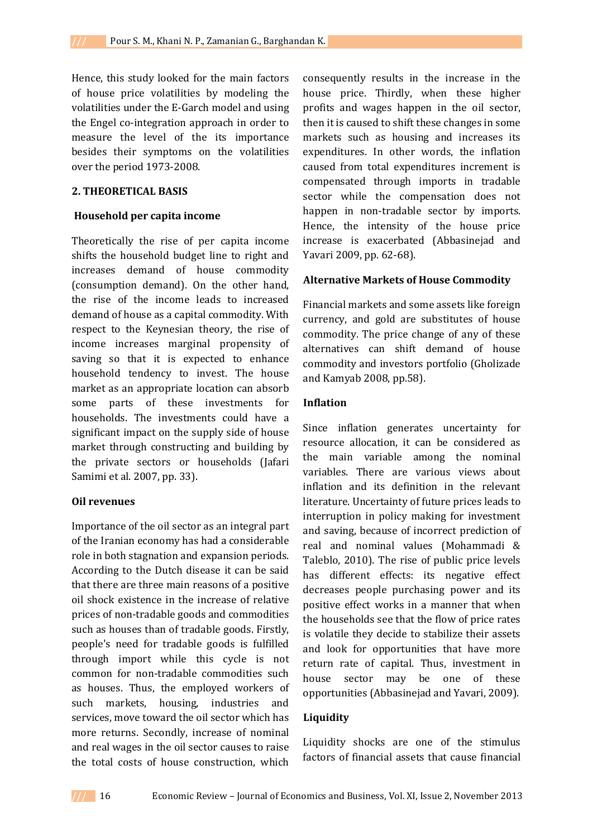Hence, this study looked for the main factors of house price volatilities by modeling the volatilities under the E-Garch model and using the Engel co-integration approach in order to measure the level of the its importance besides their symptoms on the volatilities over the period 1973-2008.

### **2. THEORETICAL BASIS**

#### **Household per capita income**

Theoretically the rise of per capita income shifts the household budget line to right and increases demand of house commodity (consumption demand). On the other hand, the rise of the income leads to increased demand of house as a capital commodity. With respect to the Keynesian theory, the rise of income increases marginal propensity of saving so that it is expected to enhance household tendency to invest. The house market as an appropriate location can absorb some parts of these investments for households. The investments could have a significant impact on the supply side of house market through constructing and building by the private sectors or households (Jafari Samimi et al. 2007, pp. 33).

#### **Oil revenues**

Importance of the oil sector as an integral part of the Iranian economy has had a considerable role in both stagnation and expansion periods. According to the Dutch disease it can be said that there are three main reasons of a positive oil shock existence in the increase of relative prices of non-tradable goods and commodities such as houses than of tradable goods. Firstly, people's need for tradable goods is fulfilled through import while this cycle is not common for non-tradable commodities such as houses. Thus, the employed workers of such markets, housing, industries and services, move toward the oil sector which has more returns. Secondly, increase of nominal and real wages in the oil sector causes to raise the total costs of house construction, which

consequently results in the increase in the house price. Thirdly, when these higher profits and wages happen in the oil sector, then it is caused to shift these changes in some markets such as housing and increases its expenditures. In other words, the inflation caused from total expenditures increment is compensated through imports in tradable sector while the compensation does not happen in non-tradable sector by imports. Hence, the intensity of the house price increase is exacerbated (Abbasinejad and Yavari 2009, pp. 62-68).

#### **Alternative Markets of House Commodity**

Financial markets and some assets like foreign currency, and gold are substitutes of house commodity. The price change of any of these alternatives can shift demand of house commodity and investors portfolio (Gholizade and Kamyab 2008, pp.58).

#### **Inflation**

Since inflation generates uncertainty for resource allocation, it can be considered as the main variable among the nominal variables. There are various views about inflation and its definition in the relevant literature. Uncertainty of future prices leads to interruption in policy making for investment and saving, because of incorrect prediction of real and nominal values (Mohammadi & Taleblo, 2010). The rise of public price levels has different effects: its negative effect decreases people purchasing power and its positive effect works in a manner that when the households see that the flow of price rates is volatile they decide to stabilize their assets and look for opportunities that have more return rate of capital. Thus, investment in house sector may be one of these opportunities (Abbasinejad and Yavari, 2009).

## **Liquidity**

Liquidity shocks are one of the stimulus factors of financial assets that cause financial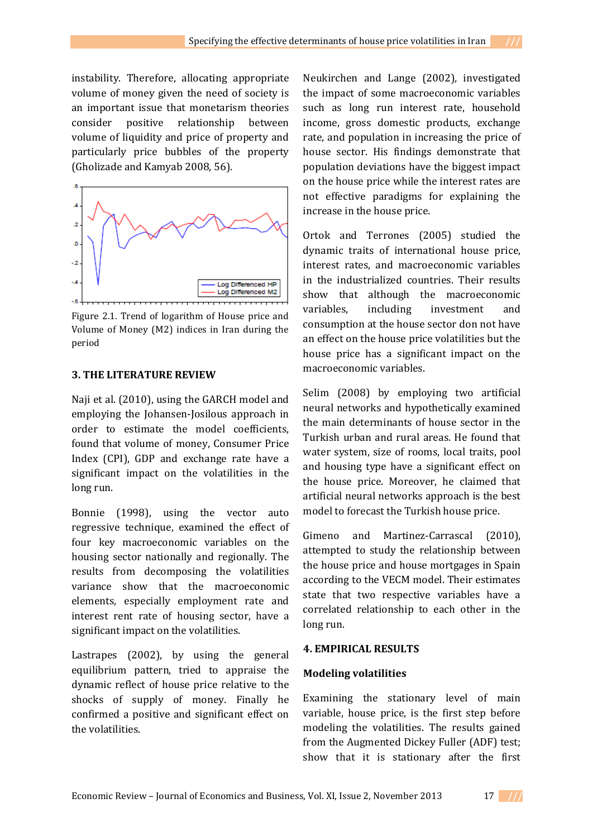instability. Therefore, allocating appropriate volume of money given the need of society is an important issue that monetarism theories consider positive relationship between volume of liquidity and price of property and particularly price bubbles of the property (Gholizade and Kamyab 2008, 56).



Figure 2.1. Trend of logarithm of House price and Volume of Money (M2) indices in Iran during the period

## **3. THE LITERATURE REVIEW**

Naji et al. (2010), using the GARCH model and employing the Johansen-Josilous approach in order to estimate the model coefficients, found that volume of money, Consumer Price Index (CPI), GDP and exchange rate have a significant impact on the volatilities in the long run.

Bonnie (1998), using the vector auto regressive technique, examined the effect of four key macroeconomic variables on the housing sector nationally and regionally. The results from decomposing the volatilities variance show that the macroeconomic elements, especially employment rate and interest rent rate of housing sector, have a significant impact on the volatilities.

Lastrapes (2002), by using the general equilibrium pattern, tried to appraise the dynamic reflect of house price relative to the shocks of supply of money. Finally he confirmed a positive and significant effect on the volatilities.

Neukirchen and Lange (2002), investigated the impact of some macroeconomic variables such as long run interest rate, household income, gross domestic products, exchange rate, and population in increasing the price of house sector. His findings demonstrate that population deviations have the biggest impact on the house price while the interest rates are not effective paradigms for explaining the increase in the house price.

Ortok and Terrones (2005) studied the dynamic traits of international house price, interest rates, and macroeconomic variables in the industrialized countries. Their results show that although the macroeconomic variables, including investment and consumption at the house sector don not have an effect on the house price volatilities but the house price has a significant impact on the macroeconomic variables.

Selim (2008) by employing two artificial neural networks and hypothetically examined the main determinants of house sector in the Turkish urban and rural areas. He found that water system, size of rooms, local traits, pool and housing type have a significant effect on the house price. Moreover, he claimed that artificial neural networks approach is the best model to forecast the Turkish house price.

Gimeno and Martinez-Carrascal (2010), attempted to study the relationship between the house price and house mortgages in Spain according to the VECM model. Their estimates state that two respective variables have a correlated relationship to each other in the long run.

### **4. EMPIRICAL RESULTS**

#### **Modeling volatilities**

Examining the stationary level of main variable, house price, is the first step before modeling the volatilities. The results gained from the Augmented Dickey Fuller (ADF) test; show that it is stationary after the first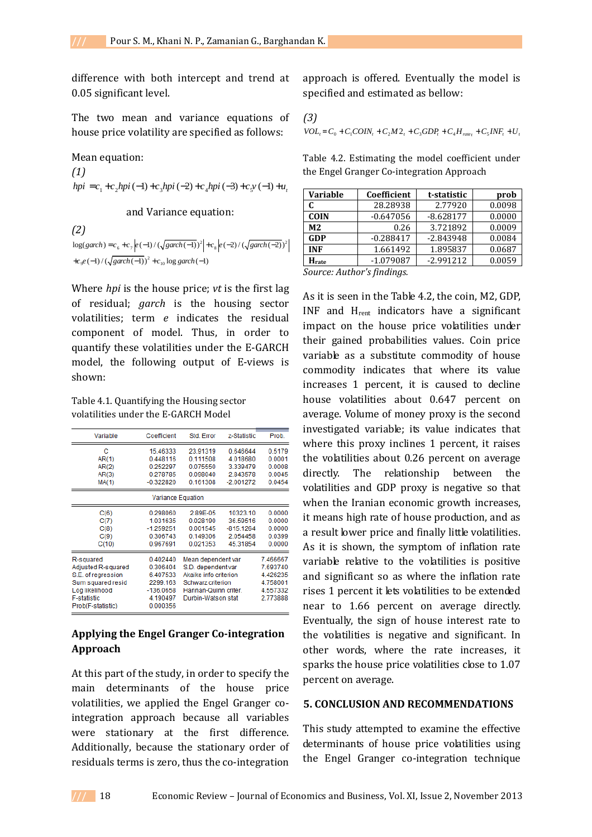difference with both intercept and trend at 0.05 significant level.

The two mean and variance equations of house price volatility are specified as follows:

#### Mean equation:

*(1)*   $hpi = c_1 + c_2 hpi (-1) + c_3 hpi (-2) + c_4 hpi (-3) + c_5 v (-1) + u_t$ 

## and Variance equation:

*(2)*   $log(garch) = c_6 + c_7 \left| e(-1) / (\sqrt{garch(-1)})^2 \right| + c_8 \left| e(-2) / (\sqrt{garch(-2)})^2 \right|$  $+c_9e(-1)/(\sqrt{garch(-1)})^2 + c_{10}\log garch(-1)$ 

Where *hpi* is the house price; *vt* is the first lag of residual; *garch* is the housing sector volatilities; term *e* indicates the residual component of model. Thus, in order to quantify these volatilities under the E-GARCH model, the following output of E-views is shown:

Table 4.1. Quantifying the Housing sector volatilities under the E-GARCH Model

| Variable                                                                                                                                | Coefficient                                                                         | Std. Error                                                                                                                           | z-Statistic                                                 | Prob.                                                                |  |
|-----------------------------------------------------------------------------------------------------------------------------------------|-------------------------------------------------------------------------------------|--------------------------------------------------------------------------------------------------------------------------------------|-------------------------------------------------------------|----------------------------------------------------------------------|--|
| с<br>AR(1)<br>AR(2)<br>AR(3)<br>MA(1)                                                                                                   | 15.46333<br>0.448116<br>0.252297<br>0.278785<br>$-0.322820$                         | 23.91319<br>0.111508<br>0.075550<br>0.098040<br>0.161308                                                                             | 0.646644<br>4.018680<br>3.339479<br>2.843578<br>$-2.001272$ | 0.5179<br>0.0001<br>0.0008<br>0.0045<br>0.0454                       |  |
| Variance Equation                                                                                                                       |                                                                                     |                                                                                                                                      |                                                             |                                                                      |  |
| C(6)<br>C(7)<br>C(8)<br>C(9)<br>C(10)                                                                                                   | 0.298060<br>1.031635<br>$-1.259251$<br>0.306743<br>0.967691                         | 2.89E-05<br>0.028190<br>0.001545<br>0.149306<br>0.021353                                                                             | 10323.10<br>36.59516<br>$-815.1264$<br>2.054458<br>45.31854 | 0.0000<br>0.0000<br>0.0000<br>0.0399<br>0.0000                       |  |
| R-squared<br>Adjusted R-squared<br>S.E. of regression<br>Sum squared resid<br>Log likelihood<br><b>F-statistic</b><br>Prob(F-statistic) | 0.402440<br>0.306404<br>6.407533<br>2299.163<br>$-136.0658$<br>4.190497<br>0.000356 | Mean dependent var<br>S.D. dependent var<br>Akaike info criterion<br>Schwarz criterion<br>Hannan-Quinn criter.<br>Durbin-Watson stat |                                                             | 7.466667<br>7.693740<br>4.426235<br>4.758001<br>4.557332<br>2.773888 |  |

# **Applying the Engel Granger Co-integration Approach**

At this part of the study, in order to specify the main determinants of the house price volatilities, we applied the Engel Granger cointegration approach because all variables were stationary at the first difference. Additionally, because the stationary order of residuals terms is zero, thus the co-integration

approach is offered. Eventually the model is specified and estimated as bellow:

$$
\text{(3)}\\ \text{VOL}_{i} = C_{0} + C_{1}COIN_{t} + C_{2}M2_{t} + C_{3}GDP_{t} + C_{4}H_{\text{rater}} + C_{5}INF_{t} + U_{t}
$$

Table 4.2. Estimating the model coefficient under the Engel Granger Co-integration Approach

| <b>Variable</b> | Coefficient | t-statistic | prob   |
|-----------------|-------------|-------------|--------|
|                 | 28.28938    | 2.77920     | 0.0098 |
| <b>COIN</b>     | $-0.647056$ | $-8.628177$ | 0.0000 |
| M <sub>2</sub>  | 0.26        | 3.721892    | 0.0009 |
| <b>GDP</b>      | $-0.288417$ | $-2.843948$ | 0.0084 |
| <b>INF</b>      | 1.661492    | 1.895837    | 0.0687 |
| Hrate           | $-1.079087$ | $-2.991212$ | 0.0059 |

*Source: Author's findings.* 

As it is seen in the Table 4.2, the coin, M2, GDP, INF and Hrent indicators have a significant impact on the house price volatilities under their gained probabilities values. Coin price variable as a substitute commodity of house commodity indicates that where its value increases 1 percent, it is caused to decline house volatilities about 0.647 percent on average. Volume of money proxy is the second investigated variable; its value indicates that where this proxy inclines 1 percent, it raises the volatilities about 0.26 percent on average directly. The relationship between the volatilities and GDP proxy is negative so that when the Iranian economic growth increases, it means high rate of house production, and as a result lower price and finally little volatilities. As it is shown, the symptom of inflation rate variable relative to the volatilities is positive and significant so as where the inflation rate rises 1 percent it lets volatilities to be extended near to 1.66 percent on average directly. Eventually, the sign of house interest rate to the volatilities is negative and significant. In other words, where the rate increases, it sparks the house price volatilities close to 1.07 percent on average.

### **5. CONCLUSION AND RECOMMENDATIONS**

This study attempted to examine the effective determinants of house price volatilities using the Engel Granger co-integration technique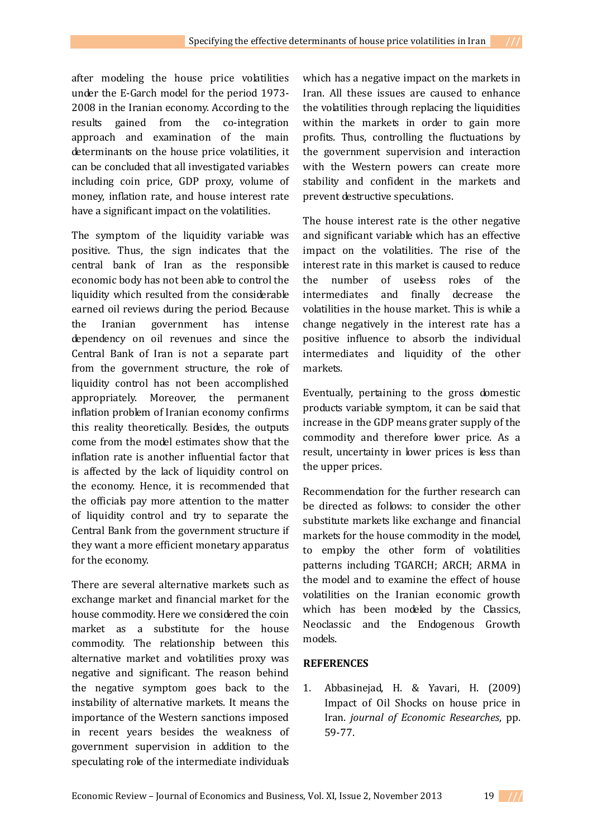after modeling the house price volatilities under the E-Garch model for the period 1973- 2008 in the Iranian economy. According to the results gained from the co-integration approach and examination of the main determinants on the house price volatilities, it can be concluded that all investigated variables including coin price, GDP proxy, volume of money, inflation rate, and house interest rate have a significant impact on the volatilities.

The symptom of the liquidity variable was positive. Thus, the sign indicates that the central bank of Iran as the responsible economic body has not been able to control the liquidity which resulted from the considerable earned oil reviews during the period. Because the Iranian government has intense dependency on oil revenues and since the Central Bank of Iran is not a separate part from the government structure, the role of liquidity control has not been accomplished appropriately. Moreover, the permanent inflation problem of Iranian economy confirms this reality theoretically. Besides, the outputs come from the model estimates show that the inflation rate is another influential factor that is affected by the lack of liquidity control on the economy. Hence, it is recommended that the officials pay more attention to the matter of liquidity control and try to separate the Central Bank from the government structure if they want a more efficient monetary apparatus for the economy.

There are several alternative markets such as exchange market and financial market for the house commodity. Here we considered the coin market as a substitute for the house commodity. The relationship between this alternative market and volatilities proxy was negative and significant. The reason behind the negative symptom goes back to the instability of alternative markets. It means the importance of the Western sanctions imposed in recent years besides the weakness of government supervision in addition to the speculating role of the intermediate individuals

which has a negative impact on the markets in Iran. All these issues are caused to enhance the volatilities through replacing the liquidities within the markets in order to gain more profits. Thus, controlling the fluctuations by the government supervision and interaction with the Western powers can create more stability and confident in the markets and prevent destructive speculations.

The house interest rate is the other negative and significant variable which has an effective impact on the volatilities. The rise of the interest rate in this market is caused to reduce the number of useless roles of the intermediates and finally decrease the volatilities in the house market. This is while a change negatively in the interest rate has a positive influence to absorb the individual intermediates and liquidity of the other markets.

Eventually, pertaining to the gross domestic products variable symptom, it can be said that increase in the GDP means grater supply of the commodity and therefore lower price. As a result, uncertainty in lower prices is less than the upper prices.

Recommendation for the further research can be directed as follows: to consider the other substitute markets like exchange and financial markets for the house commodity in the model, to employ the other form of volatilities patterns including TGARCH; ARCH; ARMA in the model and to examine the effect of house volatilities on the Iranian economic growth which has been modeled by the Classics, Neoclassic and the Endogenous Growth models.

# **REFERENCES**

1. Abbasinejad, H. & Yavari, H. (2009) Impact of Oil Shocks on house price in Iran. *journal of Economic Researches*, pp. 59-77.